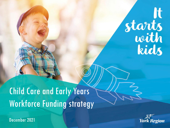# Starts<br>with<br>kids

#### Child Care and Early Years Workforce Funding strategy

December 2021

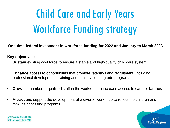### Child Care and Early Years Workforce Funding strategy

**One-time federal investment in workforce funding for 2022 and January to March 2023**

**Key objectives:**

- **Sustain** existing workforce to ensure a stable and high-quality child care system
- **Enhance** access to opportunities that promote retention and recruitment, including professional development, training and qualification upgrade programs
- **Grow** the number of qualified staff in the workforce to increase access to care for families
- **Attract** and support the development of a diverse workforce to reflect the children and families accessing programs

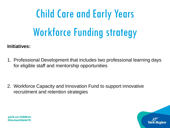## Child Care and Early Years Workforce Funding strategy

#### **Initiatives:**

1. Professional Development that includes two professional learning days for eligible staff and mentorship opportunities

2. Workforce Capacity and Innovation Fund to support innovative recruitment and retention strategies

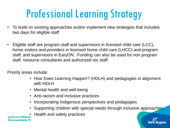#### Professional Learning Strategy

- To build on existing approaches and/or implement new strategies that includes two days for eligible staff
- Eligible staff are program staff and supervisors in licensed child care (LCC), home visitors and providers in licensed home child care (LHCC) and program staff, and supervisors in EaryON. Funding can also be used for non program staff, resource consultants and authorized rec staff.

Priority areas include:

- How Does Learning Happen? (HDLH) and pedagogies in alignment with HDI H
- Mental health and well-being
- Anti-racism and inclusive practices
- Incorporating Indigenous perspectives and pedagogies
- Supporting children with special needs through inclusive approaches
- Health and safety practices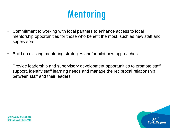#### **Mentoring**

- Commitment to working with local partners to enhance access to local mentorship opportunities for those who benefit the most, such as new staff and supervisors
- Build on existing mentoring strategies and/or pilot new approaches
- Provide leadership and supervisory development opportunities to promote staff support, identify staff learning needs and manage the reciprocal relationship between staff and their leaders

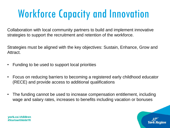#### Workforce Capacity and Innovation

Collaboration with local community partners to build and implement innovative strategies to support the recruitment and retention of the workforce.

Strategies must be aligned with the key objectives: Sustain, Enhance, Grow and Attract.

- Funding to be used to support local priorities
- Focus on reducing barriers to becoming a registered early childhood educator (RECE) and provide access to additional qualifications
- The funding cannot be used to increase compensation entitlement, including wage and salary rates, increases to benefits including vacation or bonuses

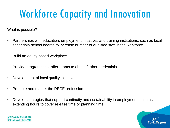#### Workforce Capacity and Innovation

What is possible?

- Partnerships with education, employment initiatives and training institutions, such as local secondary school boards to increase number of qualified staff in the workforce
- Build an equity-based workplace
- Provide programs that offer grants to obtain further credentials
- Development of local quality initiatives
- Promote and market the RECE profession
- Develop strategies that support continuity and sustainability in employment, such as extending hours to cover release time or planning time